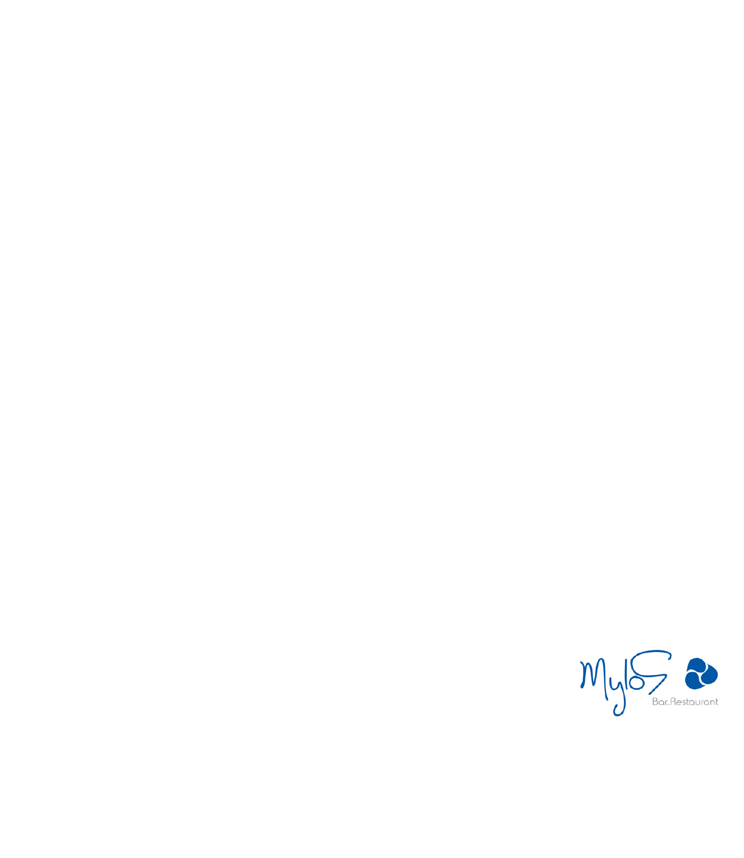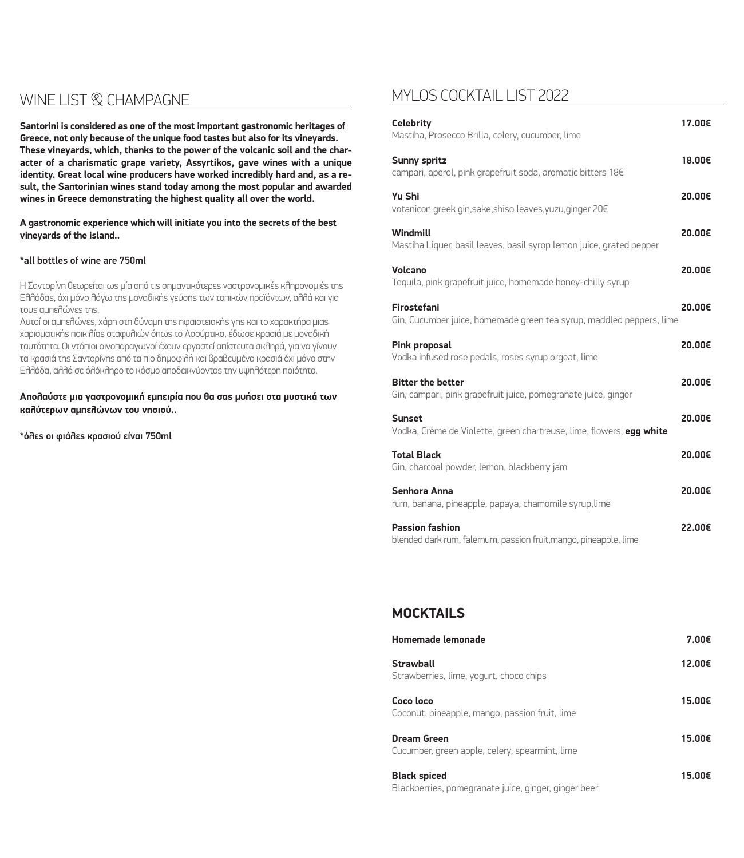## WINE LIST **& CHAMPAGNE**

**Santorini is considered as one of the most important gastronomic heritages of Greece, not only because of the unique food tastes but also for its vineyards. These vineyards, which, thanks to the power of the volcanic soil and the character of a charismatic grape variety, Assyrtikos, gave wines with a unique identity. Great local wine producers have worked incredibly hard and, as a result, the Santorinian wines stand today among the most popular and awarded wines in Greece demonstrating the highest quality all over the world.**

**A gastronomic experience which will initiate you into the secrets of the best vineyards of the island..**

#### \*all bottles of wine are 750ml

Η Σαντορίνη θεωρείται ως μία από τις σημαντικότερες γαστρονομικές κληρονομιές της Ελλάδας, όχι μόνο λόγω της μοναδικής γεύσης των τοπικών προϊόντων, αλλά και για τους αμπελώνες της.

Αυτοί οι αμπελώνες, χάρη στη δύναμη της ηφαιστειακής γης και το χαρακτήρα μιας χαρισματικής ποικιλίας σταφυλιών όπως το Ασσύρτικο, έδωσε κρασιά με μοναδική ταυτότητα. Οι ντόπιοι οινοπαραγωγοί έχουν εργαστεί απίστευτα σκληρά, για να γίνουν τα κρασιά της Σαντορίνης από τα πιο δημοφιλή και βραβευμένα κρασιά όχι μόνο στην Ελλάδα, αλλά σε όλόκληρο το κόσμο αποδεικνύοντας την υψηλότερη ποιότητα.

**Απολαύστε μια γαστρονομική εμπειρία που θα σας μυήσει στα μυστικά των καλύτερων αμπελώνων του νησιού..** 

\*όλες οι φιάλες κρασιού είναι 750ml

## MYLOS COCKTAIL LIST 2022

| <b>Celebrity</b><br>Mastiha, Prosecco Brilla, celery, cucumber, lime                        | 17.00€ |
|---------------------------------------------------------------------------------------------|--------|
| <b>Sunny spritz</b><br>campari, aperol, pink grapefruit soda, aromatic bitters 18€          | 18.00€ |
| Yu Shi<br>votanicon greek gin, sake, shiso leaves, yuzu, ginger 20€                         | 20.00€ |
| Windmill<br>Mastiha Liquer, basil leaves, basil syrop lemon juice, grated pepper            | 20.00€ |
| Volcano<br>Tequila, pink grapefruit juice, homemade honey-chilly syrup                      | 20.00€ |
| Firostefani<br>Gin, Cucumber juice, homemade green tea syrup, maddled peppers, lime         | 20.00€ |
| <b>Pink proposal</b><br>Vodka infused rose pedals, roses syrup orgeat, lime                 | 20.00€ |
| <b>Bitter the better</b><br>Gin, campari, pink grapefruit juice, pomegranate juice, ginger  | 20.00€ |
| <b>Sunset</b><br>Vodka, Crème de Violette, green chartreuse, lime, flowers, egg white       | 20.00€ |
| <b>Total Black</b><br>Gin, charcoal powder, lemon, blackberry jam                           | 20.00€ |
| Senhora Anna<br>rum, banana, pineapple, papaya, chamomile syrup, lime                       | 20.00€ |
| <b>Passion fashion</b><br>blended dark rum, falernum, passion fruit, mango, pineapple, lime | 22.00€ |

## **MOCKTAILS**

| Homemade lemonade                                             | 7.00€  |
|---------------------------------------------------------------|--------|
| Strawball<br>Strawberries, lime, yogurt, choco chips          | 12.00€ |
| Coco loco<br>Coconut, pineapple, mango, passion fruit, lime   | 15.00€ |
| Dream Green<br>Cucumber, green apple, celery, spearmint, lime | 15.00€ |
| <b>Black spiced</b>                                           | 15.00€ |

Blackberries, pomegranate juice, ginger, ginger beer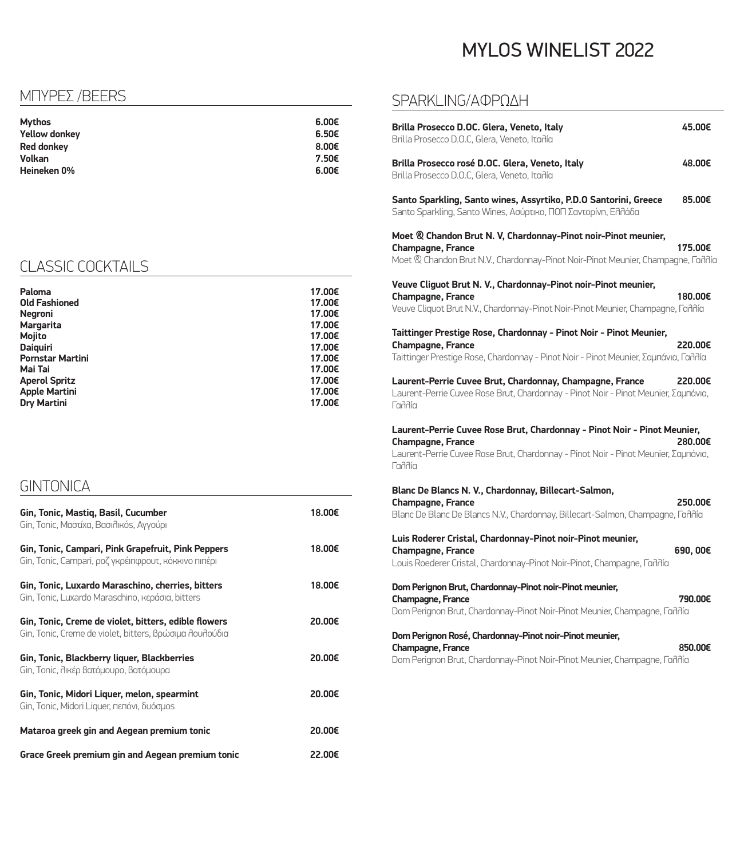# MYLOS WINELIST 2022

## ΜΠΥΡΕΣ /BEERS

| Mythos               | 6.00€             |
|----------------------|-------------------|
| <b>Yellow donkey</b> | 6.50€             |
| <b>Red donkey</b>    | 8.00 <sub>ε</sub> |
| Volkan               | 7.50€             |
| Heineken 0%          | 6.00€             |

## CLASSIC COCKTAILS

| Paloma<br><b>Old Fashioned</b> | 17.00€<br>17.00€ |
|--------------------------------|------------------|
| <b>Negroni</b>                 | 17.00€           |
| <b>Margarita</b>               | 17.00€           |
| <b>Mojito</b>                  | 17.00€           |
| <b>Daiguiri</b>                | 17.00€           |
| <b>Pornstar Martini</b>        | 17.00€           |
| Mai Tai                        | 17.00€           |
| <b>Aperol Spritz</b>           | 17.00€           |
| <b>Apple Martini</b>           | 17.00€           |
| <b>Dry Martini</b>             | 17.00€           |

**GINTONICA** 

| Gin, Tonic, Mastiq, Basil, Cucumber<br>Gin, Tonic, Μαστίχα, Βασιλικόs, Αγγούρι                                  | 18.00€ |
|-----------------------------------------------------------------------------------------------------------------|--------|
| Gin, Tonic, Campari, Pink Grapefruit, Pink Peppers<br>Gin, Tonic, Campari, ροζ γκρέιπφρουτ, κόκκινο πιπέρι      | 18.00€ |
| Gin, Tonic, Luxardo Maraschino, cherries, bitters<br>Gin, Tonic, Luxardo Maraschino, κεράσια, bitters           | 18.00€ |
| Gin, Tonic, Creme de violet, bitters, edible flowers<br>Gin, Tonic, Creme de violet, bitters, βρώσιμα λουλούδια | 20,00€ |
| Gin, Tonic, Blackberry liquer, Blackberries<br>Gin, Tonic, λικέρ βατόμουρο, βατόμουρα                           | 20.00€ |
| Gin, Tonic, Midori Liquer, melon, spearmint<br>Gin, Tonic, Midori Liquer, πεπόνι, δυόσμοs                       | 20.00€ |
| Mataroa greek gin and Aegean premium tonic                                                                      | 20,00€ |
| Grace Greek premium gin and Aegean premium tonic                                                                | 22.00€ |

## SPARKLING/ΑΦΡΏΔΗ

| Brilla Prosecco D.OC. Glera, Veneto, Italy<br>Brilla Prosecco D.O.C, Glera, Veneto, Itañía                                                                                                          | 45.00€   |
|-----------------------------------------------------------------------------------------------------------------------------------------------------------------------------------------------------|----------|
| Brilla Prosecco rosé D.OC. Glera, Veneto, Italy<br>Brilla Prosecco D.O.C, Glera, Veneto, Itañía                                                                                                     | 48.00€   |
| Santo Sparkling, Santo wines, Assyrtiko, P.D.O Santorini, Greece<br>Santo Sparkling, Santo Wines, Ασύρτικο, ΠΟΠ Σαντορίνη, Ελλάδα                                                                   | 85.00€   |
| Moet & Chandon Brut N. V, Chardonnay-Pinot noir-Pinot meunier,<br>Champagne, France<br>Moet & Chandon Brut N.V., Chardonnay-Pinot Noir-Pinot Meunier, Champagne, Faññía                             | 175.00€  |
| Veuve Cliguot Brut N. V., Chardonnay-Pinot noir-Pinot meunier,<br><b>Champagne, France</b><br>Veuve Cliquot Brut N.V., Chardonnay-Pinot Noir-Pinot Meunier, Champagne, Fandía                       | 180.00€  |
| Taittinger Prestige Rose, Chardonnay - Pinot Noir - Pinot Meunier,<br>Champagne, France<br>Taittinger Prestige Rose, Chardonnay - Pinot Noir - Pinot Meunier, Σαμπάνια, Γαλλία                      | 220.00€  |
| Laurent-Perrie Cuvee Brut, Chardonnay, Champagne, France<br>Laurent-Perrie Cuvee Rose Brut, Chardonnay - Pinot Noir - Pinot Meunier, Σαμπάνια,<br>Layyu                                             | 220.00€  |
| Laurent-Perrie Cuvee Rose Brut, Chardonnay - Pinot Noir - Pinot Meunier,<br><b>Champagne, France</b><br>Laurent-Perrie Cuvee Rose Brut, Chardonnay - Pinot Noir - Pinot Meunier, Σαμπάνια,<br>Layyu | 280.00€  |
| Blanc De Blancs N. V., Chardonnay, Billecart-Salmon,<br>Champagne, France<br>Blanc De Blanc De Blancs N.V., Chardonnay, Billecart-Salmon, Champagne, Faññía                                         | 250.00€  |
| Luis Roderer Cristal, Chardonnay-Pinot noir-Pinot meunier,<br>Champagne, France<br>Louis Roederer Cristal, Chardonnay-Pinot Noir-Pinot, Champagne, Faññía                                           | 690, 00€ |
| Dom Perignon Brut, Chardonnay-Pinot noir-Pinot meunier,<br>Champagne, France<br>Dom Perignon Brut, Chardonnay-Pinot Noir-Pinot Meunier, Champagne, Γαλλία                                           | 790.00€  |
| Dom Perignon Rosé, Chardonnay-Pinot noir-Pinot meunier,<br>Champagne, France<br>Dom Perignon Brut, Chardonnay-Pinot Noir-Pinot Meunier, Champagne, Γαλλία                                           | 850.00€  |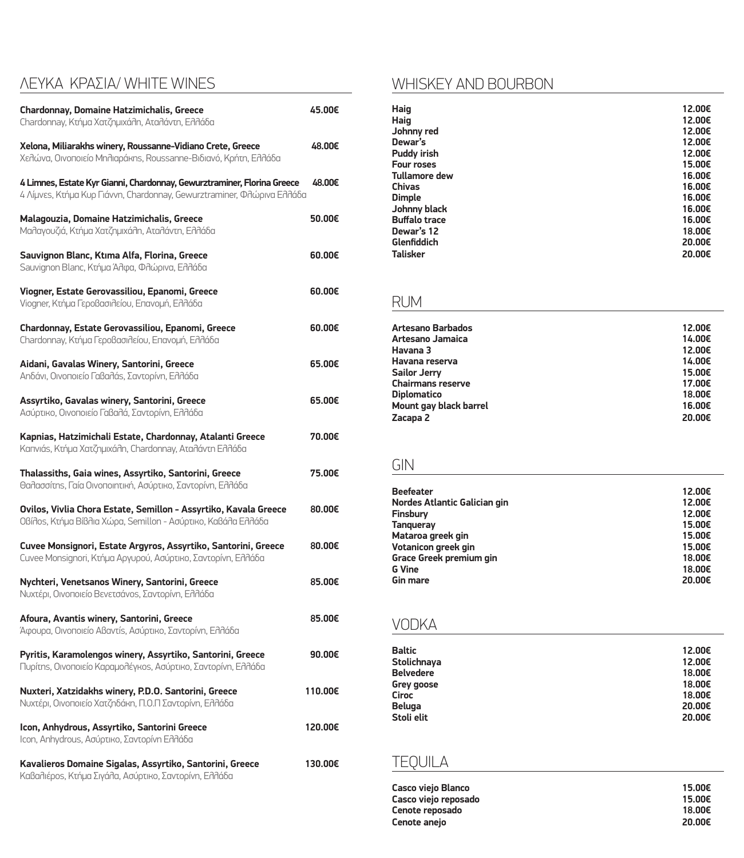## ΛΕΥΚΑ KΡΑΣΙΑ/ WHITE WINES

| <b>Chardonnay, Domaine Hatzimichalis, Greece</b><br>Chardonnay, Κτήμα Χατζημιχάλη, Αταλάντη, Ελλάδα                                               | 45.00€  |
|---------------------------------------------------------------------------------------------------------------------------------------------------|---------|
| Xelona, Miliarakhs winery, Roussanne-Vidiano Crete, Greece<br>Χελώνα, Οινοποιείο Μηλιαράκηs, Roussanne-Βιδιανό, Κρήτη, Ελλάδα                     | 48.00€  |
| 4 Limnes, Estate Kyr Gianni, Chardonnay, Gewurztraminer, Florina Greece<br>4 Λίμνεs, Κτήμα Κυρ Γιάννη, Chardonnay, Gewurztraminer, Φλώρινα Ελλάδα | 48.00€  |
| Malagouzia, Domaine Hatzimichalis, Greece<br>Μαλαγουζιά, Κτήμα Χατζημιχάλη, Αταλάντη, Ελλάδα                                                      | 50.00€  |
| Sauvignon Blanc, Ktıma Alfa, Florina, Greece<br>Sauvignon Blanc, Κτήμα Άλφα, Φλώρινα, Ελλάδα                                                      | 60.00€  |
| Viogner, Estate Gerovassiliou, Epanomi, Greece<br>Viogner, Κτήμα Γεροβασιλείου, Επανομή, Ελλάδα                                                   | 60.00€  |
| Chardonnay, Estate Gerovassiliou, Epanomi, Greece<br>Chardonnay, Κτήμα Γεροβασιλείου, Επανομή, Ελλάδα                                             | 60.00€  |
| Aidani, Gavalas Winery, Santorini, Greece<br>Αηδάνι, Οινοποιείο Γαβαλάς, Σαντορίνη, Ελλάδα                                                        | 65.00€  |
| Assyrtiko, Gavalas winery, Santorini, Greece<br>Ασύρτικο, Οινοποιείο Γαβαλά, Σαντορίνη, Ελλάδα                                                    | 65.00€  |
| Kapnias, Hatzimichali Estate, Chardonnay, Atalanti Greece<br>Kanviás, Κτήμα Χατζημιχάλη, Chardonnay, Αταλάντη Ελλάδα                              | 70.00€  |
| Thalassiths, Gaia wines, Assyrtiko, Santorini, Greece<br>Θαλασσίτης, Γαία Οινοποιητική, Ασύρτικο, Σαντορίνη, Ελλάδα                               | 75.00€  |
| Ovilos, Vivlia Chora Estate, Semillon - Assyrtiko, Kavala Greece<br>OBídos, Κτήμα Βίβλια Χώρα, Semillon - Ασύρτικο, Καβάλα Ελλάδα                 | 80.00€  |
| Cuvee Monsignori, Estate Argyros, Assyrtiko, Santorini, Greece<br>Cuvee Monsignori, Κτήμα Αργυρού, Ασύρτικο, Σαντορίνη, Ελλάδα                    | 80.00€  |
| Nychteri, Venetsanos Winery, Santorini, Greece<br>Νυχτέρι, Οινοποιείο Βενετσάνος, Σαντορίνη, Ελλάδα                                               | 85.00€  |
| Afoura, Avantis winery, Santorini, Greece<br>Άφουρα, Οινοποιείο Αβαντίς, Ασύρτικο, Σαντορίνη, Ελλάδα                                              | 85.00€  |
| Pyritis, Karamolengos winery, Assyrtiko, Santorini, Greece<br>Πυρίτης, Οινοποιείο Καραμολέγκος, Ασύρτικο, Σαντορίνη, Ελλάδα                       | 90.00€  |
| Nuxteri, Xatzidakhs winery, P.D.O. Santorini, Greece<br>Νυχτέρι, Οινοποιείο Χατζηδάκη, Π.Ο.Π Σαντορίνη, Ελλάδα                                    | 110.00€ |
| Icon, Anhydrous, Assyrtiko, Santorini Greece<br>Icon, Anhydrous, Ασύρτικο, Σαντορίνη Ελλάδα                                                       | 120.00€ |
| Kavalieros Domaine Sigalas, Assyrtiko, Santorini, Greece<br>Καβαλιέρος, Κτήμα Σιγάλα, Ασύρτικο, Σαντορίνη, Ελλάδα                                 | 130.00€ |

## WHISKEY AND BOURBON

| Haig                 | 12.00€ |
|----------------------|--------|
| Haig                 | 12.00€ |
| Johnny red           | 12.00€ |
| Dewar's              | 12.00€ |
| <b>Puddy irish</b>   | 12.00€ |
| <b>Four roses</b>    | 15.00€ |
| <b>Tullamore dew</b> | 16.00€ |
| <b>Chivas</b>        | 16.00€ |
| <b>Dimple</b>        | 16.00€ |
| Johnny black         | 16.00€ |
| <b>Buffalo trace</b> | 16.00€ |
| Dewar's 12           | 18.00€ |
| Glenfiddich          | 20,00€ |
| <b>Talisker</b>      | 20,00€ |
|                      |        |

## RUM

| 12.00€ |
|--------|
| 14.00€ |
| 12.00€ |
| 14.00€ |
| 15.00€ |
| 17.00€ |
| 18.00€ |
| 16.00€ |
| 20.00€ |
|        |

## GIN

| <b>Beefeater</b>                    | 12.00€ |
|-------------------------------------|--------|
| <b>Nordes Atlantic Galician gin</b> | 12.00€ |
| Finsbury                            | 12.00€ |
| <b>Tangueray</b>                    | 15.00€ |
| Mataroa greek gin                   | 15.00€ |
| Votanicon greek gin                 | 15.00€ |
| Grace Greek premium gin             | 18.00€ |
| <b>G</b> Vine                       | 18.00€ |
| <b>Gin mare</b>                     | 20,00€ |

## VODKA

| <b>Baltic</b>    | 12.00€ |
|------------------|--------|
| Stolichnaya      | 12.00€ |
| <b>Belvedere</b> | 18.00€ |
| Grey goose       | 18.00€ |
| <b>Ciroc</b>     | 18.00€ |
| <b>Beluga</b>    | 20.00€ |
| Stoli elit       | 20.00€ |
|                  |        |

## TEQUILA

| Casco viejo Blanco   | 15.00€ |
|----------------------|--------|
| Casco viejo reposado | 15.00€ |
| Cenote reposado      | 18.00€ |
| Cenote anejo         | 20,00€ |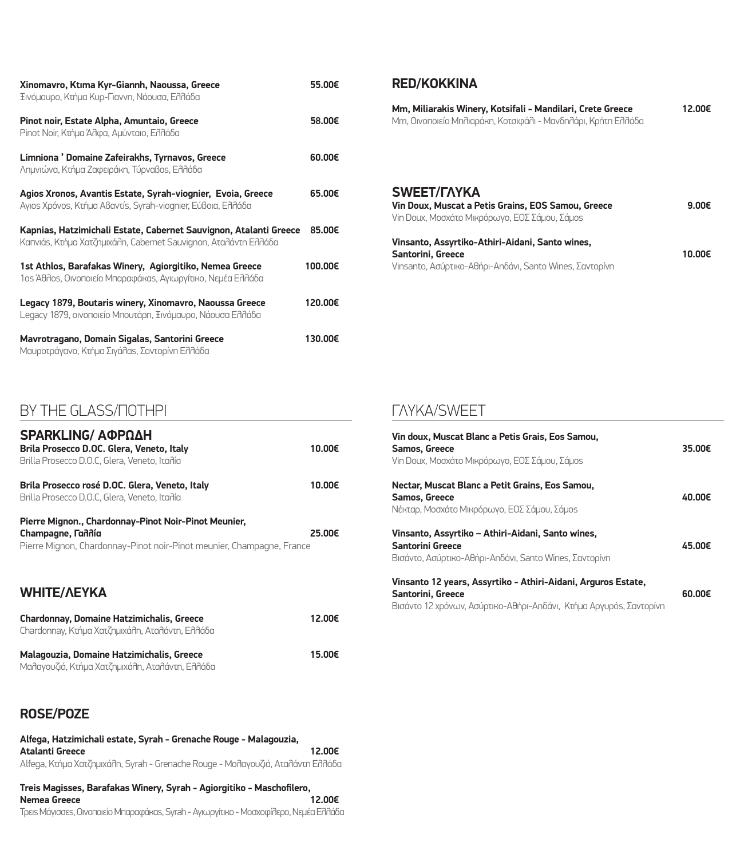| Xinomavro, Ktıma Kyr-Giannh, Naoussa, Greece<br>Ξινόμαυρο, Κτήμα Κυρ-Γιαννη, Νάουσα, Ελλάδα                                          | 55.00€  |
|--------------------------------------------------------------------------------------------------------------------------------------|---------|
| Pinot noir, Estate Alpha, Amuntaio, Greece<br>Pinot Noir, Κτήμα Άλφα, Αμύνταιο, Ελλάδα                                               | 58.00€  |
| Limniona ' Domaine Zafeirakhs, Tyrnavos, Greece<br>Λημνιώνα, Κτήμα Ζαφειράκη, Τύρναβος, Ελλάδα                                       | 60.00€  |
| Agios Xronos, Avantis Estate, Syrah-viognier, Evoia, Greece<br>Ayıos Xρόνοs, Κτήμα Aßavτís, Syrah-viognier, Εύβοια, Ελλάδα           | 65.00€  |
| Kapnias, Hatzimichali Estate, Cabernet Sauvignon, Atalanti Greece<br>Kanviás, Κτήμα Χατζημιχάλη, Cabernet Sauvignon, Αταλάντη Ελλάδα | 85.00€  |
| 1st Athlos, Barafakas Winery, Agiorgitiko, Nemea Greece<br>1οs Άθλοs, Οινοποιείο Μπαραφάκαs, Αγιωργίτικο, Νεμέα Ελλάδα               | 100.00€ |
| Legacy 1879, Boutaris winery, Xinomavro, Naoussa Greece<br>Legacy 1879, οινοποιείο Μπουτάρη, Ξινόμαυρο, Νάουσα Ελλάδα                | 120.00€ |
| Mavrotragano, Domain Sigalas, Santorini Greece<br>Μαυροτράγανο, Κτήμα Σιγάλας, Σαντορίνη Ελλάδα                                      | 130.00€ |

#### **RED/ΚΟΚΚΙΝΑ**

| Mm, Miliarakis Winery, Kotsifali - Mandilari, Crete Greece    | 12.00€ |
|---------------------------------------------------------------|--------|
| Mm, Οινοποιείο Μηλιαράκη, Κοτσιφάλι - Μανδηλάρι, Κρήτη Ελλάδα |        |
|                                                               |        |
|                                                               |        |

#### **SWEET/ΓΛΥΚΑ**

| Vin Doux, Muscat a Petis Grains, EOS Samou, Greece<br>Vin Doux, Μοσχάτο Μικρόρωγο, ΕΟΣ Σάμου, Σάμος | 9.00 $\epsilon$ |
|-----------------------------------------------------------------------------------------------------|-----------------|
| Vinsanto, Assyrtiko-Athiri-Aidani, Santo wines,                                                     |                 |
| <b>Santorini, Greece</b>                                                                            | 10.00€          |
| Vinsanto, Ασύρτικο-Αθήρι-Αηδάνι, Santo Wines, Σαντορίνη                                             |                 |

# BY ΤΗΕ GLASS/ΠΟΤΗΡΙ

| <b>SPARKLING/ ΑΦΡΩΔΗ</b><br>Brila Prosecco D.OC. Glera, Veneto, Italy<br>Brilla Prosecco D.O.C. Glera, Veneto, Itañía                              | 10.00€ |
|----------------------------------------------------------------------------------------------------------------------------------------------------|--------|
| Brila Prosecco rosé D.OC. Glera, Veneto, Italy<br>Brilla Prosecco D.O.C, Glera, Veneto, Itania                                                     | 10.00€ |
| Pierre Mignon., Chardonnay-Pinot Noir-Pinot Meunier,<br>Champagne, Tandía<br>Pierre Mignon, Chardonnay-Pinot noir-Pinot meunier, Champagne, France | 25.00€ |
| <b>WHITE/AEYKA</b>                                                                                                                                 |        |
| Chardonnav, Domaine Hatzimichalis, Greece                                                                                                          | 12.00€ |

| Chardonnay, Domaine Hatzimichaus, Greece<br>Chardonnay, Κτήμα Χατζημιχάλη, Αταλάντη, Ελλάδα  | I Z.UUT. |
|----------------------------------------------------------------------------------------------|----------|
| Malagouzia, Domaine Hatzimichalis, Greece<br>Μαλαγουζιά, Κτήμα Χατζημιχάλη, Αταλάντη, Ελλάδα | 15.00€   |

### **ROSE/ΡΟΖΕ**

| Alfega, Hatzimichali estate, Syrah - Grenache Rouge - Malagouzia,               |        |
|---------------------------------------------------------------------------------|--------|
| Atalanti Greece                                                                 | 12.00€ |
| Alfega, Κτήμα Χατζημιχάλη, Syrah - Grenache Rouge - Μαλαγουζιά, Αταλάντη Ελλάδα |        |

**Treis Magisses, Barafakas Winery, Syrah - Agiorgitiko - Maschofilero, Nemea Greece** Τρεις Μάγισσες, Οινοποιείο Μπαραφάκας, Syrah - Αγιωργίτικο - Mοσχοφίλερο, Νεμέα Ελλάδα

## ΓΛΥΚΑ/SWEET

| Vin doux, Muscat Blanc a Petis Grais, Eos Samou,<br><b>Samos, Greece</b><br>Vin Doux, Μοσχάτο Μικρόρωγο, ΕΟΣ Σάμου, Σάμος                                | 35.00€           |
|----------------------------------------------------------------------------------------------------------------------------------------------------------|------------------|
| Nectar, Muscat Blanc a Petit Grains, Eos Samou,<br><b>Samos, Greece</b><br>Νέκταρ, Μοσχάτο Μικρόρωγο, ΕΟΣ Σάμου, Σάμος                                   | 40.00€           |
| Vinsanto, Assyrtiko - Athiri-Aidani, Santo wines,<br>Santorini Greece<br>Βισάντο, Ασύρτικο-Αθήρι-Αηδάνι, Santo Wines, Σαντορίνη                          | 45.00€           |
| Vinsanto 12 years, Assyrtiko - Athiri-Aidani, Arguros Estate,<br>Santorini, Greece<br>Βισάντο 12 χρόνων, Ασύρτικο-Αθήρι-Αηδάνι, Κτήμα Αργυρός, Σαντορίνη | $60.00 \epsilon$ |